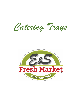*Catering Trays*

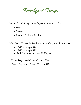*Breakfast Trays*

Yogurt Bar - \$6.50/person – 5-person minimum order

- Yogurt
- Granola
- Seasonal Fruit and Berries

Mini Pastry Tray (mini Danish, mini muffins, mini donuts, ect)

- 10-12 servings \$14
- 18-20 servings \$20
- Added on to yogurt bar \$1.25/person

1 Dozen Bagels and Cream Cheese - \$20

½ Dozen Bagels and Cream Cheese - \$12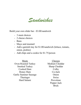*Sandwiches*

Build your own slider bar - \$3.00/sandwich

- 3 meat choices
- 2 cheese choices
- Buns
- Mayo and mustard
- Add a garnish tray for \$1.00/sandwich (lettuce, tomato, onion, pickles)
- Add chips and a cookie for \$1.75/person

Meats Oven Roasted Turkey Smoked Turkey Cooked Ham Honey Ham Garlic Summer Sausage Thuringer Hard Salami

Cheeses Medium Cheddar Sharp Cheddar Colby Co-Jack Onion **Swiss** Provolone Pepper Jack Brick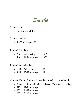*Snacks*

Assorted Bars

- Call for availability

Assorted Cookies

- 30-35 servings - \$20

Seasonal Fruit Tray

| $-21b$  | 6-8 servings   | \$15 |
|---------|----------------|------|
| $-4$ lb | 12-16 servings | \$25 |

Seasonal Vegetable Tray

|  | $-1.5$ lb 6-8 servings | \$15 |
|--|------------------------|------|
|  |                        |      |

- 3.5lb 15-20 servings \$25

Meat and Cheese Tray (cut for crackers, crackers not included)

- 2 meat choices and 3 cheese choices (from sandwich list)
- \$15 12-15 servings
- \$20 18-20 servings
- \$25 23-25 servings